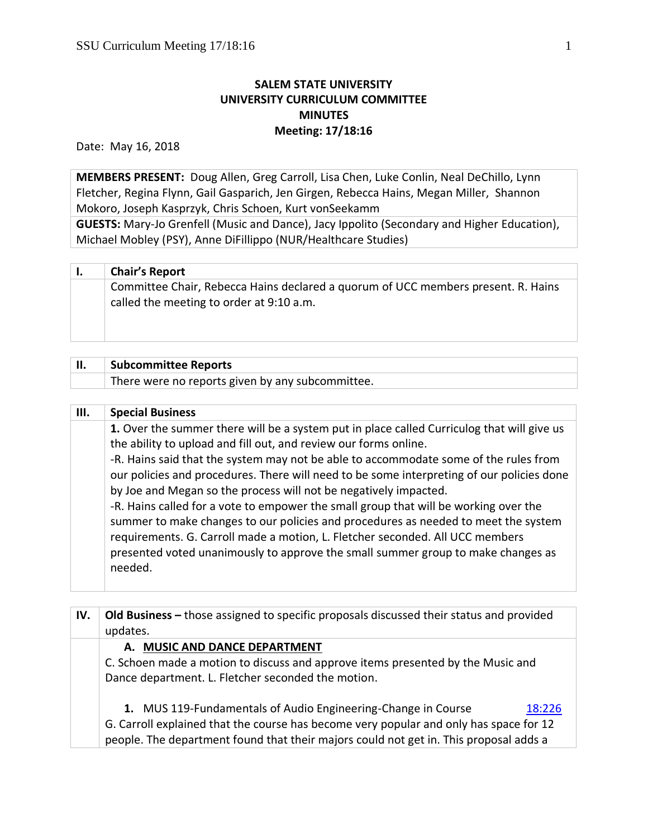## **SALEM STATE UNIVERSITY UNIVERSITY CURRICULUM COMMITTEE MINUTES Meeting: 17/18:16**

Date: May 16, 2018

**MEMBERS PRESENT:** Doug Allen, Greg Carroll, Lisa Chen, Luke Conlin, Neal DeChillo, Lynn Fletcher, Regina Flynn, Gail Gasparich, Jen Girgen, Rebecca Hains, Megan Miller, Shannon Mokoro, Joseph Kasprzyk, Chris Schoen, Kurt vonSeekamm

**GUESTS:** Mary-Jo Grenfell (Music and Dance), Jacy Ippolito (Secondary and Higher Education), Michael Mobley (PSY), Anne DiFillippo (NUR/Healthcare Studies)

| <b>Chair's Report</b> |  |
|-----------------------|--|
|                       |  |

Committee Chair, Rebecca Hains declared a quorum of UCC members present. R. Hains called the meeting to order at 9:10 a.m.

| Ή. | <b>Subcommittee Reports</b>                      |
|----|--------------------------------------------------|
|    | There were no reports given by any subcommittee. |

| <b>Special Business</b>                                                                                                                                                                                                                                     |
|-------------------------------------------------------------------------------------------------------------------------------------------------------------------------------------------------------------------------------------------------------------|
| 1. Over the summer there will be a system put in place called Curriculog that will give us                                                                                                                                                                  |
| the ability to upload and fill out, and review our forms online.                                                                                                                                                                                            |
| -R. Hains said that the system may not be able to accommodate some of the rules from                                                                                                                                                                        |
| our policies and procedures. There will need to be some interpreting of our policies done                                                                                                                                                                   |
| by Joe and Megan so the process will not be negatively impacted.                                                                                                                                                                                            |
| -R. Hains called for a vote to empower the small group that will be working over the<br>summer to make changes to our policies and procedures as needed to meet the system<br>requirements. G. Carroll made a motion, L. Fletcher seconded. All UCC members |
| presented voted unanimously to approve the small summer group to make changes as<br>needed.                                                                                                                                                                 |
|                                                                                                                                                                                                                                                             |

| IV. | <b>Old Business</b> – those assigned to specific proposals discussed their status and provided<br>updates.<br>A. MUSIC AND DANCE DEPARTMENT<br>C. Schoen made a motion to discuss and approve items presented by the Music and |  |
|-----|--------------------------------------------------------------------------------------------------------------------------------------------------------------------------------------------------------------------------------|--|
|     |                                                                                                                                                                                                                                |  |
|     |                                                                                                                                                                                                                                |  |
|     | Dance department. L. Fletcher seconded the motion.                                                                                                                                                                             |  |
|     | 1. MUS 119-Fundamentals of Audio Engineering-Change in Course<br>18:226                                                                                                                                                        |  |
|     | G. Carroll explained that the course has become very popular and only has space for 12                                                                                                                                         |  |
|     | people. The department found that their majors could not get in. This proposal adds a                                                                                                                                          |  |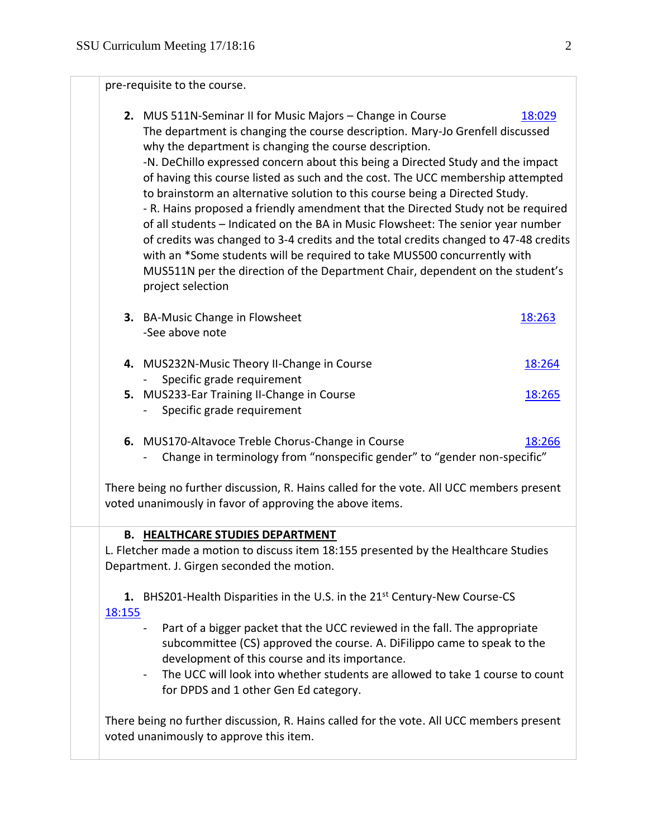pre-requisite to the course.

- **2.** MUS 511N-Seminar II for Music Majors Change in Course [18:029](https://polaris.salemstate.edu/governance/?trackingNum=18:029&search=all) The department is changing the course description. Mary-Jo Grenfell discussed why the department is changing the course description. -N. DeChillo expressed concern about this being a Directed Study and the impact of having this course listed as such and the cost. The UCC membership attempted to brainstorm an alternative solution to this course being a Directed Study. - R. Hains proposed a friendly amendment that the Directed Study not be required of all students – Indicated on the BA in Music Flowsheet: The senior year number of credits was changed to 3-4 credits and the total credits changed to 47-48 credits with an \*Some students will be required to take MUS500 concurrently with MUS511N per the direction of the Department Chair, dependent on the student's project selection
- **3.** BA-Music Change in Flowsheet [18:263](https://polaris.salemstate.edu/governance/?trackingNum=18:263&search=all) -See above note
- **4.** MUS232N-Music Theory II-Change in Course [18:264](https://polaris.salemstate.edu/governance/?trackingNum=18:264&search=all) Specific grade requirement **5.** MUS233-Ear Training II-Change in Course [18:265](https://polaris.salemstate.edu/governance/?trackingNum=18:265&search=all)
	- Specific grade requirement
- **6.** MUS170-Altavoce Treble Chorus-Change in Course [18:266](https://polaris.salemstate.edu/governance/?trackingNum=18:266&search=all)
	- Change in terminology from "nonspecific gender" to "gender non-specific"

There being no further discussion, R. Hains called for the vote. All UCC members present voted unanimously in favor of approving the above items.

## **B. HEALTHCARE STUDIES DEPARTMENT**

L. Fletcher made a motion to discuss item 18:155 presented by the Healthcare Studies Department. J. Girgen seconded the motion.

**1.** BHS201-Health Disparities in the U.S. in the 21<sup>st</sup> Century-New Course-CS [18:155](https://polaris.salemstate.edu/governance/?trackingNum=18:155&search=all)

- Part of a bigger packet that the UCC reviewed in the fall. The appropriate subcommittee (CS) approved the course. A. DiFilippo came to speak to the development of this course and its importance.
- The UCC will look into whether students are allowed to take 1 course to count for DPDS and 1 other Gen Ed category.

There being no further discussion, R. Hains called for the vote. All UCC members present voted unanimously to approve this item.